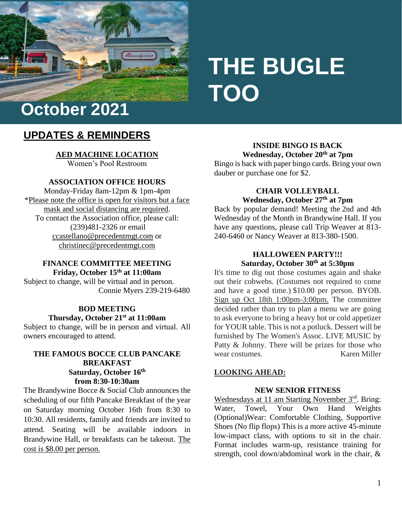

# **THE BUGLE TOO**

# **UPDATES & REMINDERS**

**AED MACHINE LOCATION** Women's Pool Restroom

# **ASSOCIATION OFFICE HOURS**

Monday-Friday 8am-12pm & 1pm-4pm \*Please note the office is open for visitors but a face mask and social distancing are required. To contact the Association office, please call: (239)481-2326 or email [ccastellano@precedentmgt.com](mailto:ccastellano@precedentmgt.com) or christinec@precedentmgt.com

# **FINANCE COMMITTEE MEETING Friday, October 15 th at 11:00am**

Subject to change, will be virtual and in person. Connie Myers 239-219-6480

#### **BOD MEETING**

# **Thursday, October 21 st at 11:00am**

Subject to change, will be in person and virtual. All owners encouraged to attend.

# **THE FAMOUS BOCCE CLUB PANCAKE BREAKFAST Saturday, October 16th from 8:30-10:30am**

The Brandywine Bocce & Social Club announces the scheduling of our fifth Pancake Breakfast of the year on Saturday morning October 16th from 8:30 to 10:30. All residents, family and friends are invited to attend. Seating will be available indoors in Brandywine Hall, or breakfasts can be takeout. The cost is \$8.00 per person.

**INSIDE BINGO IS BACK Wednesday, October 20th at 7pm**

Bingo is back with paper bingo cards. Bring your own dauber or purchase one for \$2.

#### **CHAIR VOLLEYBALL Wednesday, October 27 th at 7pm**

Back by popular demand! Meeting the 2nd and 4th Wednesday of the Month in Brandywine Hall. If you have any questions, please call Trip Weaver at 813- 240-6460 or Nancy Weaver at 813-380-1500.

# **HALLOWEEN PARTY!!! Saturday, October 30th at 5:30pm**

It's time to dig out those costumes again and shake out their cobwebs. (Costumes not required to come and have a good time.) \$10.00 per person. BYOB. Sign up Oct 18th 1:00pm-3:00pm. The committee decided rather than try to plan a menu we are going to ask everyone to bring a heavy hot or cold appetizer for YOUR table. This is not a potluck. Dessert will be furnished by The Women's Assoc. LIVE MUSIC by Patty & Johnny. There will be prizes for those who wear costumes. Karen Miller

# **LOOKING AHEAD:**

#### **NEW SENIOR FITNESS**

Wednesdays at 11 am Starting November 3<sup>rd</sup>. Bring: Water, Towel, Your Own Hand Weights (Optional)Wear: Comfortable Clothing, Supportive Shoes (No flip flops) This is a more active 45-minute low-impact class, with options to sit in the chair. Format includes warm-up, resistance training for strength, cool down/abdominal work in the chair, &